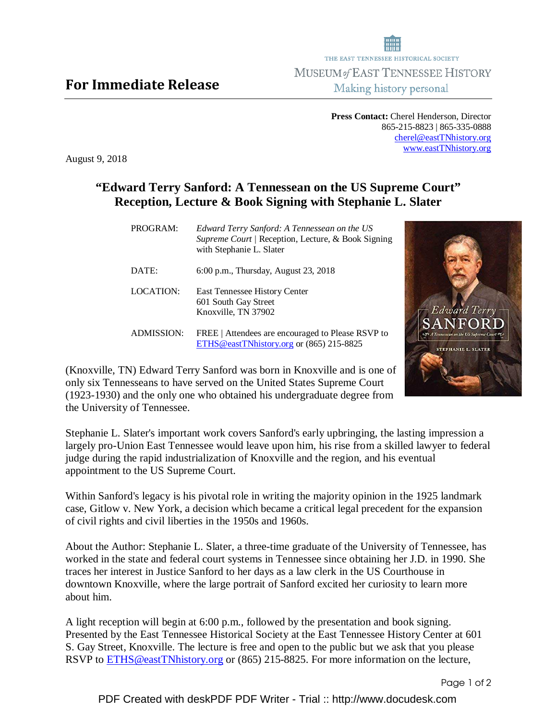## For Immediate Release

**Press Contact:** Cherel Henderson, Director 865-215-8823 | 865-335-0888 cherel@eastTNhistory.org www.eastTNhistory.org

August 9, 2018

## **"Edward Terry Sanford: A Tennessean on the US Supreme Court" Reception, Lecture & Book Signing with Stephanie L. Slater**

| PROGRAM:          | Edward Terry Sanford: A Tennessean on the US<br>Supreme Court / Reception, Lecture, & Book Signing<br>with Stephanie L. Slater |
|-------------------|--------------------------------------------------------------------------------------------------------------------------------|
| DATE:             | 6:00 p.m., Thursday, August 23, 2018                                                                                           |
| LOCATION:         | <b>East Tennessee History Center</b><br>601 South Gay Street<br>Knoxville, TN 37902                                            |
| <b>ADMISSION:</b> | FREE   Attendees are encouraged to Please RSVP to<br>ETHS@eastTNhistory.org or (865) 215-8825                                  |

(Knoxville, TN) Edward Terry Sanford was born in Knoxville and is one of only six Tennesseans to have served on the United States Supreme Court (1923-1930) and the only one who obtained his undergraduate degree from the University of Tennessee.

Stephanie L. Slater's important work covers Sanford's early upbringing, the lasting impression a largely pro-Union East Tennessee would leave upon him, his rise from a skilled lawyer to federal judge during the rapid industrialization of Knoxville and the region, and his eventual appointment to the US Supreme Court.

Within Sanford's legacy is his pivotal role in writing the majority opinion in the 1925 landmark case, Gitlow v. New York, a decision which became a critical legal precedent for the expansion of civil rights and civil liberties in the 1950s and 1960s.

About the Author: Stephanie L. Slater, a three-time graduate of the University of Tennessee, has worked in the state and federal court systems in Tennessee since obtaining her J.D. in 1990. She traces her interest in Justice Sanford to her days as a law clerk in the US Courthouse in downtown Knoxville, where the large portrait of Sanford excited her curiosity to learn more about him.

A light reception will begin at 6:00 p.m., followed by the presentation and book signing. Presented by the East Tennessee Historical Society at the East Tennessee History Center at 601 S. Gay Street, Knoxville. The lecture is free and open to the public but we ask that you please RSVP to **ETHS@eastTNhistory.org** or (865) 215-8825. For more information on the lecture,